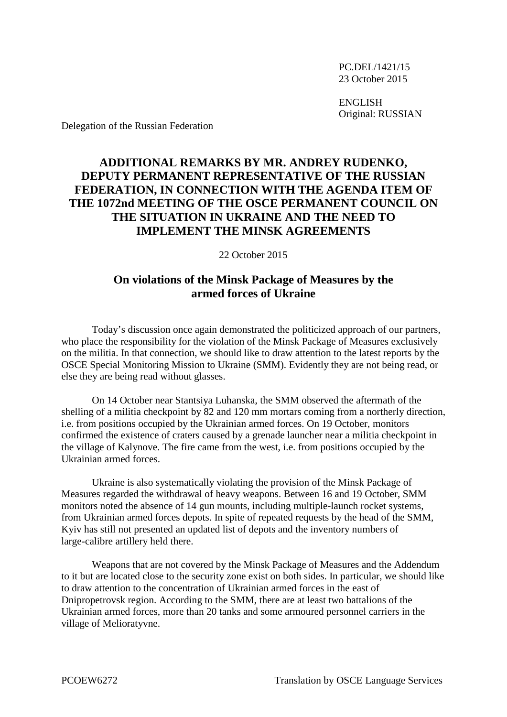PC.DEL/1421/15 23 October 2015

ENGLISH Original: RUSSIAN

Delegation of the Russian Federation

## **ADDITIONAL REMARKS BY MR. ANDREY RUDENKO, DEPUTY PERMANENT REPRESENTATIVE OF THE RUSSIAN FEDERATION, IN CONNECTION WITH THE AGENDA ITEM OF THE 1072nd MEETING OF THE OSCE PERMANENT COUNCIL ON THE SITUATION IN UKRAINE AND THE NEED TO IMPLEMENT THE MINSK AGREEMENTS**

22 October 2015

## **On violations of the Minsk Package of Measures by the armed forces of Ukraine**

Today's discussion once again demonstrated the politicized approach of our partners, who place the responsibility for the violation of the Minsk Package of Measures exclusively on the militia. In that connection, we should like to draw attention to the latest reports by the OSCE Special Monitoring Mission to Ukraine (SMM). Evidently they are not being read, or else they are being read without glasses.

On 14 October near Stantsiya Luhanska, the SMM observed the aftermath of the shelling of a militia checkpoint by 82 and 120 mm mortars coming from a northerly direction, i.e. from positions occupied by the Ukrainian armed forces. On 19 October, monitors confirmed the existence of craters caused by a grenade launcher near a militia checkpoint in the village of Kalynove. The fire came from the west, i.e. from positions occupied by the Ukrainian armed forces.

Ukraine is also systematically violating the provision of the Minsk Package of Measures regarded the withdrawal of heavy weapons. Between 16 and 19 October, SMM monitors noted the absence of 14 gun mounts, including multiple-launch rocket systems, from Ukrainian armed forces depots. In spite of repeated requests by the head of the SMM, Kyiv has still not presented an updated list of depots and the inventory numbers of large-calibre artillery held there.

Weapons that are not covered by the Minsk Package of Measures and the Addendum to it but are located close to the security zone exist on both sides. In particular, we should like to draw attention to the concentration of Ukrainian armed forces in the east of Dnipropetrovsk region. According to the SMM, there are at least two battalions of the Ukrainian armed forces, more than 20 tanks and some armoured personnel carriers in the village of Melioratyvne.